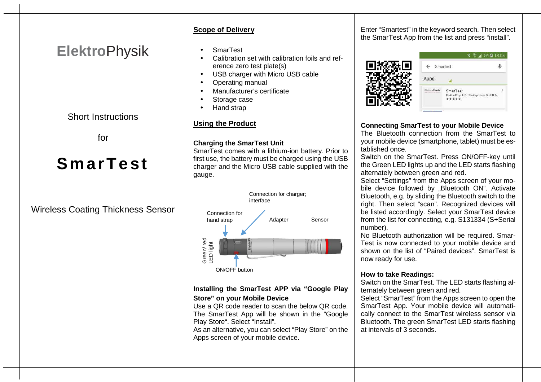# **Elektro**Physik

Short Instructions

for

# **S marT est**

## Wireless Coating Thickness Sensor

#### **Scope of Delivery**

- SmarTest
- Calibration set with calibration foils and reference zero test plate(s)
- USB charger with Micro USB cable
- Operating manual
- Manufacturer's certificate
- Storage case
- Hand strap

#### **Using the Product**

#### **Charging the SmarTest Unit**

 SmarTest comes with a lithium-ion battery. Prior to first use, the battery must be charged using the USB charger and the Micro USB cable supplied with the gauge.



#### **Installing the SmarTest APP via "Google Play Store" on your Mobile Device**

 Use a QR code reader to scan the below QR code. The SmarTest App will be shown in the "Google Play Store". Select "Install".

 As an alternative, you can select "Play Store" on theApps screen of your mobile device.

Enter "Smartest" in the keyword search. Then select the SmarTest App from the list and press "install".



|               | H <sup>+</sup> 4 94% 2 14:04                                |
|---------------|-------------------------------------------------------------|
| Smartest      |                                                             |
| Apps          |                                                             |
| ElektroPhysik | SmarTest<br>ElektroPhysik Dr. Steingroever GmbH &.<br>***** |

#### **Connecting SmarTest to your Mobile Device**

 The Bluetooth connection from the SmarTest to your mobile device (smartphone, tablet) must be established once.

 Switch on the SmarTest. Press ON/OFF-key until the Green LED lights up and the LED starts flashing alternately between green and red.

 Select "Settings" from the Apps screen of your mobile device followed by "Bluetooth ON". Activate Bluetooth, e.g. by sliding the Bluetooth switch to the right. Then select "scan". Recognized devices will be listed accordingly. Select your SmarTest device from the list for connecting, e.g. S131334 (S+Serial number).

 No Bluetooth authorization will be required. Smar-Test is now connected to your mobile device and shown on the list of "Paired devices". SmarTest is now ready for use.

#### **How to take Readings:**

 Switch on the SmarTest. The LED starts flashing alternately between green and red.

 Select "SmarTest" from the Apps screen to open the SmarTest App. Your mobile device will automatically connect to the SmarTest wireless sensor via Bluetooth. The green SmarTest LED starts flashing at intervals of 3 seconds.